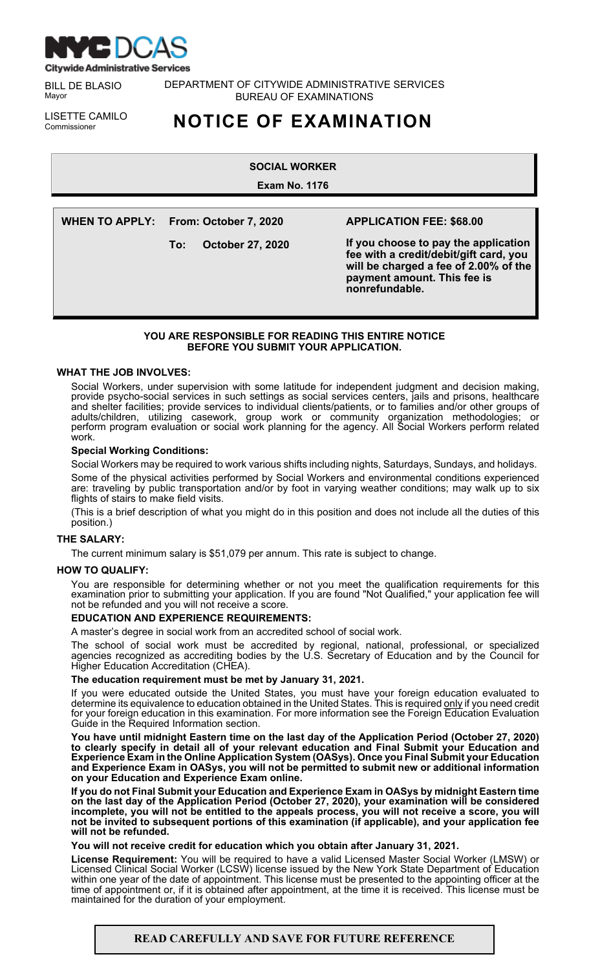

BILL DE BLASIO Mayor

DEPARTMENT OF CITYWIDE ADMINISTRATIVE SERVICES BUREAU OF EXAMINATIONS

LISETTE CAMILO<br>Commissioner

# Commissioner **NOTICE OF EXAMINATION**

**SOCIAL WORKER**

**Exam No. 1176**

**WHEN TO APPLY: From: October 7, 2020 To: October 27, 2020 APPLICATION FEE: \$68.00 If you choose to pay the application fee with a credit/debit/gift card, you will be charged a fee of 2.00% of the payment amount. This fee is nonrefundable.**

# **YOU ARE RESPONSIBLE FOR READING THIS ENTIRE NOTICE BEFORE YOU SUBMIT YOUR APPLICATION.**

# **WHAT THE JOB INVOLVES:**

Social Workers, under supervision with some latitude for independent judgment and decision making, provide psycho-social services in such settings as social services centers, jails and prisons, healthcare and shelter facilities; provide services to individual clients/patients, or to families and/or other groups of adults/children, utilizing casework, group work or community organization methodologies; or perform program evaluation or social work planning for the agency. All Social Workers perform related work.

## **Special Working Conditions:**

Social Workers may be required to work various shifts including nights, Saturdays, Sundays, and holidays.

Some of the physical activities performed by Social Workers and environmental conditions experienced are: traveling by public transportation and/or by foot in varying weather conditions; may walk up to six flights of stairs to make field visits.

(This is a brief description of what you might do in this position and does not include all the duties of this position.)

# **THE SALARY:**

The current minimum salary is \$51,079 per annum. This rate is subject to change.

#### **HOW TO QUALIFY:**

You are responsible for determining whether or not you meet the qualification requirements for this examination prior to submitting your application. If you are found "Not Qualified," your application fee will not be refunded and you will not receive a score.

#### **EDUCATION AND EXPERIENCE REQUIREMENTS:**

A master's degree in social work from an accredited school of social work.

The school of social work must be accredited by regional, national, professional, or specialized agencies recognized as accrediting bodies by the U.S. Secretary of Education and by the Council for Higher Education Accreditation (CHEA).

#### **The education requirement must be met by January 31, 2021.**

If you were educated outside the United States, you must have your foreign education evaluated to determine its equivalence to education obtained in the United States. This is required <u>only</u> if you need credit for your foreign education in this examination. For more information see the Foreign Education Evaluation Guide in the Required Information section.

**You have until midnight Eastern time on the last day of the Application Period (October 27, 2020) to clearly specify in detail all of your relevant education and Final Submit your Education and Experience Exam in the Online Application System (OASys). Once you Final Submit your Education and Experience Exam in OASys, you will not be permitted to submit new or additional information on your Education and Experience Exam online.**

**If you do not Final Submit your Education and Experience Exam in OASys by midnight Eastern time on the last day of the Application Period (October 27, 2020), your examination will be considered** incomplete, you will not be entitled to the appeals process, you will not receive a score, you will **not be invited to subsequent portions of this examination (if applicable), and your application fee will not be refunded.**

**You will not receive credit for education which you obtain after January 31, 2021.**

**License Requirement:** You will be required to have a valid Licensed Master Social Worker (LMSW) or Licensed Clinical Social Worker (LCSW) license issued by the New York State Department of Education within one year of the date of appointment. This license must be presented to the appointing officer at the time of appointment or, if it is obtained after appointment, at the time it is received. This license must be maintained for the duration of your employment.

# **READ CAREFULLY AND SAVE FOR FUTURE REFERENCE**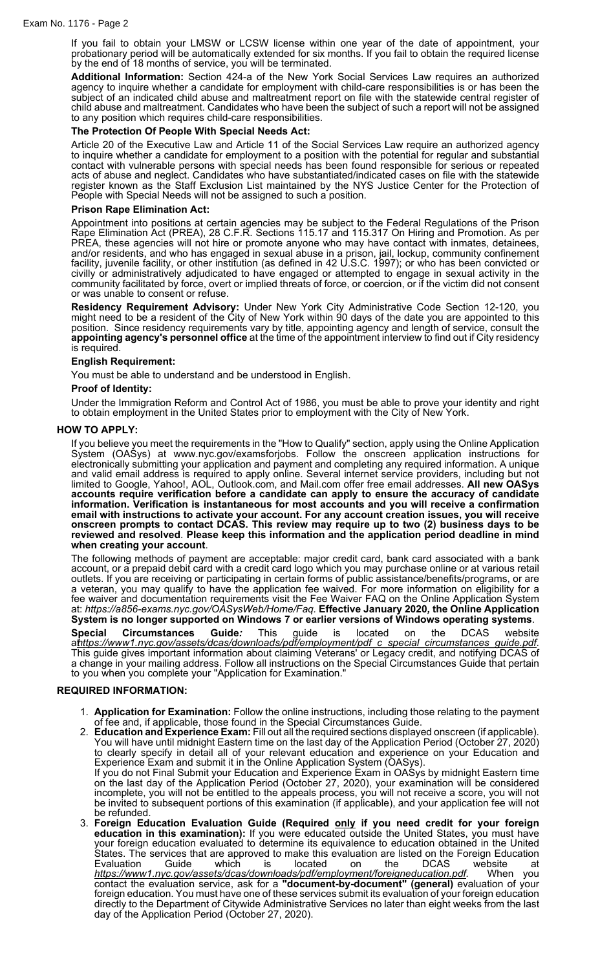If you fail to obtain your LMSW or LCSW license within one year of the date of appointment, your probationary period will be automatically extended for six months. If you fail to obtain the required license by the end of 18 months of service, you will be terminated.

**Additional Information:** Section 424-a of the New York Social Services Law requires an authorized agency to inquire whether a candidate for employment with child-care responsibilities is or has been the subject of an indicated child abuse and maltreatment report on file with the statewide central register of child abuse and maltreatment. Candidates who have been the subject of such a report will not be assigned to any position which requires child-care responsibilities.

## **The Protection Of People With Special Needs Act:**

Article 20 of the Executive Law and Article 11 of the Social Services Law require an authorized agency to inquire whether a candidate for employment to a position with the potential for regular and substantial contact with vulnerable persons with special needs has been found responsible for serious or repeated acts of abuse and neglect. Candidates who have substantiated/indicated cases on file with the statewide register known as the Staff Exclusion List maintained by the NYS Justice Center for the Protection of People with Special Needs will not be assigned to such a position.

## **Prison Rape Elimination Act:**

Appointment into positions at certain agencies may be subject to the Federal Regulations of the Prison Rape Elimination Act (PREA), 28 C.F.R. Sections 115.17 and 115.317 On Hiring and Promotion. As per PREA, these agencies will not hire or promote anyone who may have contact with inmates, detainees, and/or residents, and who has engaged in sexual abuse in a prison, jail, lockup, community confinement facility, juvenile facility, or other institution (as defined in 42 U.S.C. 1997); or who has been convicted or civilly or administratively adjudicated to have engaged or attempted to engage in sexual activity in the community facilitated by force, overt or implied threats of force, or coercion, or if the victim did not consent or was unable to consent or refuse.

**Residency Requirement Advisory:** Under New York City Administrative Code Section 12-120, you might need to be a resident of the City of New York within 90 days of the date you are appointed to this position. Since residency requirements vary by title, appointing agency and length of service, consult the **appointing agency's personnel office** at the time of the appointment interview to find out if City residency is required.

## **English Requirement:**

You must be able to understand and be understood in English.

#### **Proof of Identity:**

Under the Immigration Reform and Control Act of 1986, you must be able to prove your identity and right to obtain employment in the United States prior to employment with the City of New York.

#### **HOW TO APPLY:**

If you believe you meet the requirements in the "How to Qualify" section, apply using the Online Application System (OASys) at www.nyc.gov/examsforjobs. Follow the onscreen application instructions for electronically submitting your application and payment and completing any required information. A unique and valid email address is required to apply online. Several internet service providers, including but not limited to Google, Yahoo!, AOL, Outlook.com, and Mail.com offer free email addresses. **All new OASys accounts require verification before a candidate can apply to ensure the accuracy of candidate information. Verification is instantaneous for most accounts and you will receive a confirmation email with instructions to activate your account. For any account creation issues, you will receive onscreen prompts to contact DCAS. This review may require up to two (2) business days to be reviewed and resolved**. **Please keep this information and the application period deadline in mind when creating your account**.

The following methods of payment are acceptable: major credit card, bank card associated with a bank account, or a prepaid debit card with a credit card logo which you may purchase online or at various retail outlets. If you are receiving or participating in certain forms of public assistance/benefits/programs, or are a veteran, you may qualify to have the application fee waived. For more information on eligibility for a fee waiver and documentation requirements visit the Fee Waiver FAQ on the Online Application System at: *https://a856-exams.nyc.gov/OASysWeb/Home/Faq.* **Effective January 2020***,* **the Online Application System is no longer supported on Windows 7 or earlier versions of Windows operating systems**.

**Special Circumstances Guide***:* This guide is located on the DCAS website at*[https://www1.nyc.gov/assets/dcas/downloads/pdf/employment/pdf\\_c\\_special\\_circumstances\\_guide.pdf](https://www1.nyc.gov/assets/dcas/downloads/pdf/employment/pdf_c_special_circumstances_guide.pdf)*. This guide gives important information about claiming Veterans' or Legacy credit, and notifying DCAS of a change in your mailing address. Follow all instructions on the Special Circumstances Guide that pertain to you when you complete your "Application for Examination."

#### **REQUIRED INFORMATION:**

- 1. **Application for Examination:** Follow the online instructions, including those relating to the payment of fee and, if applicable, those found in the Special Circumstances Guide.
- 2. **Education and Experience Exam:** Fill out all the required sections displayed onscreen (if applicable). You will have until midnight Eastern time on the last day of the Application Period (October 27, 2020) to clearly specify in detail all of your relevant education and experience on your Education and Experience Exam and submit it in the Online Application System (OASys). If you do not Final Submit your Education and Experience Exam in OASys by midnight Eastern time on the last day of the Application Period (October 27, 2020), your examination will be considered incomplete, you will not be entitled to the appeals process, you will not receive a score, you will not
- be invited to subsequent portions of this examination (if applicable), and your application fee will not be refunded. 3. **Foreign Education Evaluation Guide (Required only if you need credit for your foreign education in this examination):** If you were educated outside the United States, you must have your foreign education evaluated to determine its equivalence to education obtained in the United States. The services that are approved to make this evaluation are listed on the Foreign Education Evaluation Guide which is located on the DCAS website at

*<https://www1.nyc.gov/assets/dcas/downloads/pdf/employment/foreigneducation.pdf>.* When you contact the evaluation service, ask for a **"document-by-document" (general)** evaluation of your foreign education. You must have one of these services submit its evaluation of your foreign education directly to the Department of Citywide Administrative Services no later than eight weeks from the last day of the Application Period (October 27, 2020).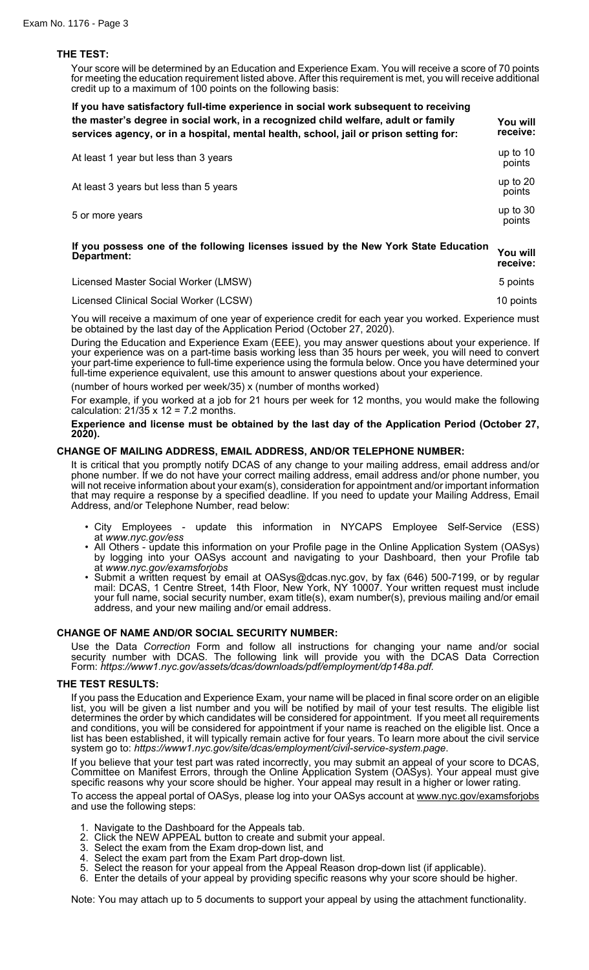## **THE TEST:**

Your score will be determined by an Education and Experience Exam. You will receive a score of 70 points for meeting the education requirement listed above. After this requirement is met, you will receive additional credit up to a maximum of 100 points on the following basis:

| If you have satisfactory full-time experience in social work subsequent to receiving<br>the master's degree in social work, in a recognized child welfare, adult or family<br>services agency, or in a hospital, mental health, school, jail or prison setting for: | You will<br>receive: |
|---------------------------------------------------------------------------------------------------------------------------------------------------------------------------------------------------------------------------------------------------------------------|----------------------|
| At least 1 year but less than 3 years                                                                                                                                                                                                                               | up to 10<br>points   |
| At least 3 years but less than 5 years                                                                                                                                                                                                                              | up to 20<br>points   |
| 5 or more years                                                                                                                                                                                                                                                     | up to 30<br>points   |

# **If you possess one of the following licenses issued by the New York State Education Department: You will receive:**

| Licensed Master Social Worker (LMSW) | 5 points |
|--------------------------------------|----------|
|                                      |          |

Licensed Clinical Social Worker (LCSW) 10 points 10 points 10 points 10 points 10 points 10 points 10 points 10 points 10 points 10 points 10 points 10 points 10 points 10 points 10 points 10 points 10 points 10 points 10

You will receive a maximum of one year of experience credit for each year you worked. Experience must be obtained by the last day of the Application Period (October 27, 2020).

During the Education and Experience Exam (EEE), you may answer questions about your experience. If your experience was on a part-time basis working less than 35 hours per week, you will need to convert your part-time experience to full-time experience using the formula below. Once you have determined your full-time experience equivalent, use this amount to answer questions about your experience.

(number of hours worked per week/35) x (number of months worked)

For example, if you worked at a job for 21 hours per week for 12 months, you would make the following calculation:  $21/35 \times 12 = 7.2$  months.

**Experience and license must be obtained by the last day of the Application Period (October 27, 2020).**

## **CHANGE OF MAILING ADDRESS, EMAIL ADDRESS, AND/OR TELEPHONE NUMBER:**

It is critical that you promptly notify DCAS of any change to your mailing address, email address and/or phone number. If we do not have your correct mailing address, email address and/or phone number, you will not receive information about your exam(s), consideration for appointment and/or important information that may require a response by a specified deadline. If you need to update your Mailing Address, Email Address, and/or Telephone Number, read below:

- City Employees update this information in NYCAPS Employee Self-Service (ESS) at *www.nyc.gov/ess*
- All Others update this information on your Profile page in the Online Application System (OASys) by logging into your OASys account and navigating to your Dashboard, then your Profile tab at *www.nyc.gov/examsforjobs*
- Submit a written request by email at OASys@dcas.nyc.gov, by fax (646) 500-7199, or by regular mail: DCAS, 1 Centre Street, 14th Floor, New York, NY 10007. Your written request must include your full name, social security number, exam title(s), exam number(s), previous mailing and/or email address, and your new mailing and/or email address.

# **CHANGE OF NAME AND/OR SOCIAL SECURITY NUMBER:**

Use the Data *Correction* Form and follow all instructions for changing your name and/or social security number with DCAS. The following link will provide you with the DCAS Data Correction Form: *https*:*//www1*.*nyc.gov/assets/dcas/downloads/pdf/employment/dp148a.pdf.*

#### **THE TEST RESULTS:**

If you pass the Education and Experience Exam, your name will be placed in final score order on an eligible list, you will be given a list number and you will be notified by mail of your test results. The eligible list determines the order by which candidates will be considered for appointment. If you meet all requirements and conditions, you will be considered for appointment if your name is reached on the eligible list. Once a list has been established, it will typically remain active for four years. To learn more about the civil service system go to: *https://www1.nyc.gov/site/dcas/employment/civil-service-system.page*.

If you believe that your test part was rated incorrectly, you may submit an appeal of your score to DCAS, Committee on Manifest Errors, through the Online Application System (OASys). Your appeal must give specific reasons why your score should be higher. Your appeal may result in a higher or lower rating.

To access the appeal portal of OASys, please log into your OASys account at [www.nyc.gov/examsforjobs](https://gcc01.safelinks.protection.outlook.com/?url=http%3A%2F%2Fwww.nyc.gov%2Fexamsforjobs&data=02%7C01%7Cpfong%40dcas.nyc.gov%7C11745fc37d004f2da51108d795e73a16%7C32f56fc75f814e22a95b15da66513bef%7C0%7C0%7C637142692650013747&sdata=nJhfk1ovFKjAvYN1h8WuOlhKyQ6kdm7v%2FhFRcw%2BJzjw%3D&reserved=0) and use the following steps:

- 1. Navigate to the Dashboard for the Appeals tab.
- 2. Click the NEW APPEAL button to create and submit your appeal.<br>3. Select the exam from the Exam drop-down list, and
- Select the exam from the Exam drop-down list, and
- 
- 4. Select the exam part from the Exam Part drop-down list. Select the reason for your appeal from the Appeal Reason drop-down list (if applicable).
- 6. Enter the details of your appeal by providing specific reasons why your score should be higher.

Note: You may attach up to 5 documents to support your appeal by using the attachment functionality.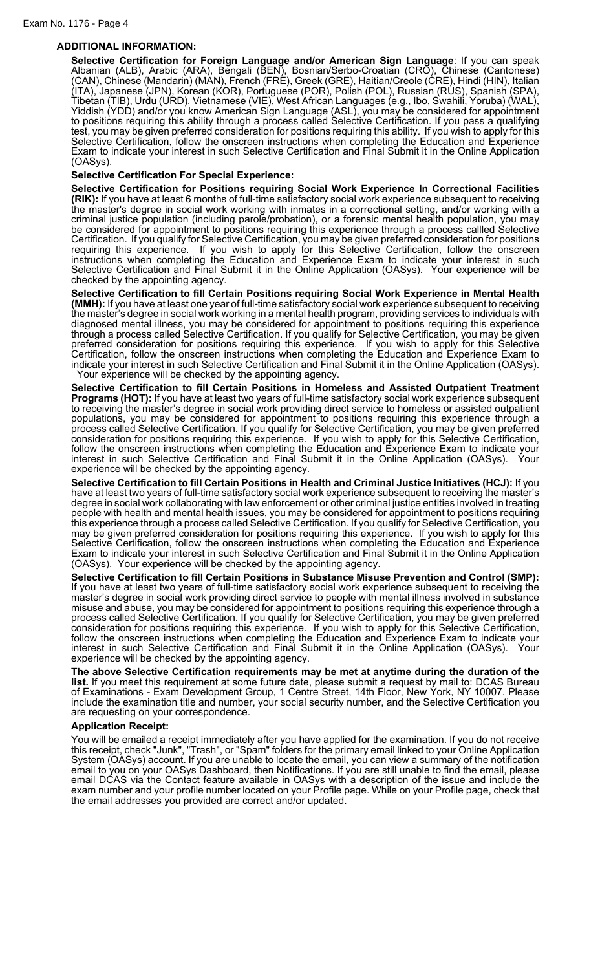# **ADDITIONAL INFORMATION:**

**Selective Certification for Foreign Language and/or American Sign Language**: If you can speak Albanian (ALB), Arabic (ARA), Bengali (BEN), Bosnian/Serbo-Croatian (CRO), Chinese (Cantonese) (CAN), Chinese (Mandarin) (MAN), French (FRE), Greek (GRE), Haitian/Creole (CRE), Hindi (HIN), Italian (ITA), Japanese (JPN), Korean (KOR), Portuguese (POR), Polish (POL), Russian (RUS), Spanish (SPA), Tibetan (TIB), Urdu (URD), Vietnamese (VIE), West African Languages (e.g., Ibo, Swahili, Yoruba) (WAL), Yiddish (YDD) and/or you know American Sign Language (ASL), you may be considered for appointment to positions requiring this ability through a process called Selective Certification. If you pass a qualifying test, you may be given preferred consideration for positions requiring this ability. If you wish to apply for this Selective Certification, follow the onscreen instructions when completing the Education and Experience Exam to indicate your interest in such Selective Certification and Final Submit it in the Online Application (OASys).

## **Selective Certification For Special Experience:**

**Selective Certification for Positions requiring Social Work Experience In Correctional Facilities (RIK):** If you have at least 6 months of full-time satisfactory social work experience subsequent to receiving the master's degree in social work working with inmates in a correctional setting, and/or working with a criminal justice population (including parole/probation), or a forensic mental health population, you may be considered for appointment to positions requiring this experience through a process callled Selective Certification. If you qualify for Selective Certification, you may be given preferred consideration for positions requiring this experience. If you wish to apply for this Selective Certification, follow the onscreen instructions when completing the Education and Experience Exam to indicate your interest in such Selective Certification and Final Submit it in the Online Application (OASys). Your experience will be checked by the appointing agency.

**Selective Certification to fill Certain Positions requiring Social Work Experience in Mental Health (MMH):** If you have at least one year of full**-**time satisfactory social work experience subsequent to receiving the master's degree in social work working in a mental health program, providing services to individuals with diagnosed mental illness, you may be considered for appointment to positions requiring this experience through a process called Selective Certification. If you qualify for Selective Certification, you may be given preferred consideration for positions requiring this experience. If you wish to apply for this Selective Certification, follow the onscreen instructions when completing the Education and Experience Exam to indicate your interest in such Selective Certification and Final Submit it in the Online Application (OASys). Your experience will be checked by the appointing agency.

**Selective Certification to fill Certain Positions in Homeless and Assisted Outpatient Treatment Programs (HOT):** If you have at least two years of full-time satisfactory social work experience subsequent to receiving the master's degree in social work providing direct service to homeless or assisted outpatient populations, you may be considered for appointment to positions requiring this experience through a process called Selective Certification. If you qualify for Selective Certification, you may be given preferred consideration for positions requiring this experience. If you wish to apply for this Selective Certification, follow the onscreen instructions when completing the Education and Experience Exam to indicate your interest in such Selective Certification and Final Submit it in the Online Application (OASys). Your experience will be checked by the appointing agency.

**Selective Certification to fill Certain Positions in Health and Criminal Justice Initiatives (HCJ):** If you have at least two years of full-time satisfactory social work experience subsequent to receiving the master's degree in social work collaborating with law enforcement or other criminal justice entities involved in treating people with health and mental health issues, you may be considered for appointment to positions requiring this experience through a process called Selective Certification. If you qualify for Selective Certification, you may be given preferred consideration for positions requiring this experience. If you wish to apply for this Selective Certification, follow the onscreen instructions when completing the Education and Experience Exam to indicate your interest in such Selective Certification and Final Submit it in the Online Application (OASys). Your experience will be checked by the appointing agency.

**Selective Certification to fill Certain Positions in Substance Misuse Prevention and Control (SMP):** If you have at least two years of full-time satisfactory social work experience subsequent to receiving the master's degree in social work providing direct service to people with mental illness involved in substance misuse and abuse, you may be considered for appointment to positions requiring this experience through a process called Selective Certification. If you qualify for Selective Certification, you may be given preferred consideration for positions requiring this experience. If you wish to apply for this Selective Certification, follow the onscreen instructions when completing the Education and Experience Exam to indicate your interest in such Selective Certification and Final Submit it in the Online Application (OASys). Your experience will be checked by the appointing agency.

**The above Selective Certification requirements may be met at anytime during the duration of the list.** If you meet this requirement at some future date, please submit a request by mail to: DCAS Bureau of Examinations - Exam Development Group, 1 Centre Street, 14th Floor, New York, NY 10007. Please include the examination title and number, your social security number, and the Selective Certification you are requesting on your correspondence.

#### **Application Receipt:**

You will be emailed a receipt immediately after you have applied for the examination. If you do not receive this receipt, check "Junk", "Trash", or "Spam" folders for the primary email linked to your Online Application System (OASys) account. If you are unable to locate the email, you can view a summary of the notification email to you on your OASys Dashboard, then Notifications. If you are still unable to find the email, please email DCAS via the Contact feature available in OASys with a description of the issue and include the exam number and your profile number located on your Profile page. While on your Profile page, check that the email addresses you provided are correct and/or updated.